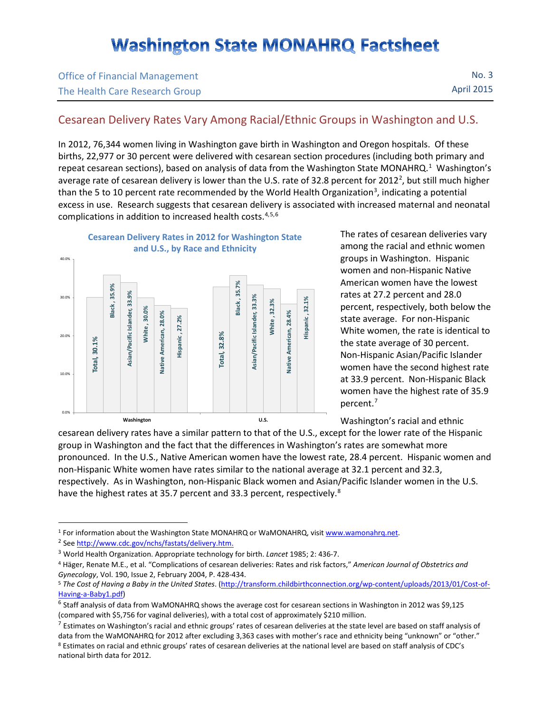## **Washington State MONAHRQ Factsheet**

| <b>Office of Financial Management</b> | No.3              |
|---------------------------------------|-------------------|
| The Health Care Research Group        | <b>April 2015</b> |

## Cesarean Delivery Rates Vary Among Racial/Ethnic Groups in Washington and U.S.

In 2012, 76,344 women living in Washington gave birth in Washington and Oregon hospitals. Of these births, 22,977 or 30 percent were delivered with cesarean section procedures (including both primary and repeat cesarean sections), based on analysis of data from the Washington State MONAHRQ.<sup>[1](#page-0-0)</sup> Washington's average rate of cesarean delivery is lower than the U.S. rate of 3[2](#page-0-1).8 percent for 2012<sup>2</sup>, but still much higher than the 5 to 10 percent rate recommended by the World Health Organization<sup>[3](#page-0-2)</sup>, indicating a potential excess in use. Research suggests that cesarean delivery is associated with increased maternal and neonatal complications in addition to increased health costs.[4,](#page-0-3)[5,](#page-0-4)[6](#page-0-5)



The rates of cesarean deliveries vary among the racial and ethnic women groups in Washington. Hispanic women and non-Hispanic Native American women have the lowest rates at 27.2 percent and 28.0 percent, respectively, both below the state average. For non-Hispanic White women, the rate is identical to the state average of 30 percent. Non-Hispanic Asian/Pacific Islander women have the second highest rate at 33.9 percent. Non-Hispanic Black women have the highest rate of 35.9 percent.[7](#page-0-6)

Washington's racial and ethnic

cesarean delivery rates have a similar pattern to that of the U.S., except for the lower rate of the Hispanic group in Washington and the fact that the differences in Washington's rates are somewhat more pronounced. In the U.S., Native American women have the lowest rate, 28.4 percent. Hispanic women and non-Hispanic White women have rates similar to the national average at 32.1 percent and 32.3, respectively. As in Washington, non-Hispanic Black women and Asian/Pacific Islander women in the U.S. have the highest rates at 35.7 percent and 33.3 percent, respectively.<sup>[8](#page-0-7)</sup>

 $\overline{a}$ 

<span id="page-0-0"></span><sup>&</sup>lt;sup>1</sup> For information about the Washington State MONAHRQ or WaMONAHRQ, visit www.wamonahrq.net.<sup>2</sup> Se[e http://www.cdc.gov/nchs/fastats/delivery.htm.](http://www.cdc.gov/nchs/fastats/delivery.htm)

<span id="page-0-1"></span>

<span id="page-0-2"></span><sup>3</sup> World Health Organization. Appropriate technology for birth. *Lancet* 1985; 2: 436-7.

<span id="page-0-3"></span><sup>4</sup> Häger, Renate M.E., et al. "Complications of cesarean deliveries: Rates and risk factors," *American Journal of Obstetrics and Gynecology*, Vol. 190, Issue 2, February 2004, P. 428-434.

<span id="page-0-4"></span><sup>5</sup> *The Cost of Having a Baby in the United States*. [\(http://transform.childbirthconnection.org/wp-content/uploads/2013/01/Cost-of-](http://transform.childbirthconnection.org/wp-content/uploads/2013/01/Cost-of-Having-a-Baby1.pdf)[Having-a-Baby1.pdf\)](http://transform.childbirthconnection.org/wp-content/uploads/2013/01/Cost-of-Having-a-Baby1.pdf)<br><sup>6</sup> Staff analysis of data from WaMONAHRQ shows the average cost for cesarean sections in Washington in 2012 was \$9,125

<span id="page-0-5"></span><sup>(</sup>compared with \$5,756 for vaginal deliveries), with a total cost of approximately \$210 million.

<span id="page-0-6"></span> $^7$  Estimates on Washington's racial and ethnic groups' rates of cesarean deliveries at the state level are based on staff analysis of data from the WaMONAHRQ for 2012 after excluding 3,363 cases with mother's race and ethnicity being "unknown" or "other."

<span id="page-0-7"></span><sup>8</sup> Estimates on racial and ethnic groups' rates of cesarean deliveries at the national level are based on staff analysis of CDC's national birth data for 2012.